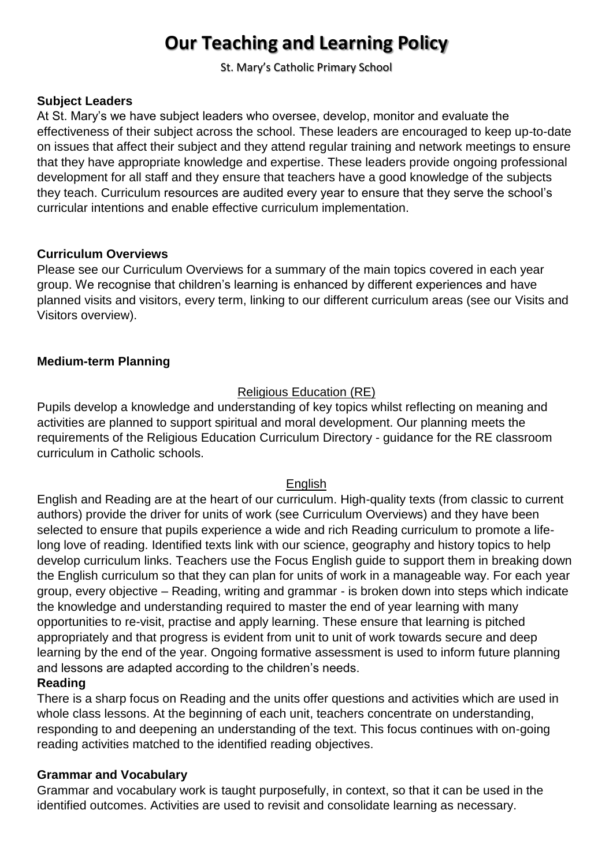# **Our Teaching and Learning Policy**

St. Mary's Catholic Primary School

#### **Subject Leaders**

At St. Mary's we have subject leaders who oversee, develop, monitor and evaluate the effectiveness of their subject across the school. These leaders are encouraged to keep up-to-date on issues that affect their subject and they attend regular training and network meetings to ensure that they have appropriate knowledge and expertise. These leaders provide ongoing professional development for all staff and they ensure that teachers have a good knowledge of the subjects they teach. Curriculum resources are audited every year to ensure that they serve the school's curricular intentions and enable effective curriculum implementation.

#### **Curriculum Overviews**

Please see our Curriculum Overviews for a summary of the main topics covered in each year group. We recognise that children's learning is enhanced by different experiences and have planned visits and visitors, every term, linking to our different curriculum areas (see our Visits and Visitors overview).

#### **Medium-term Planning**

## Religious Education (RE)

Pupils develop a knowledge and understanding of key topics whilst reflecting on meaning and activities are planned to support spiritual and moral development. Our planning meets the requirements of the Religious Education Curriculum Directory - guidance for the RE classroom curriculum in Catholic schools.

#### English

English and Reading are at the heart of our curriculum. High-quality texts (from classic to current authors) provide the driver for units of work (see Curriculum Overviews) and they have been selected to ensure that pupils experience a wide and rich Reading curriculum to promote a lifelong love of reading. Identified texts link with our science, geography and history topics to help develop curriculum links. Teachers use the Focus English guide to support them in breaking down the English curriculum so that they can plan for units of work in a manageable way. For each year group, every objective – Reading, writing and grammar - is broken down into steps which indicate the knowledge and understanding required to master the end of year learning with many opportunities to re-visit, practise and apply learning. These ensure that learning is pitched appropriately and that progress is evident from unit to unit of work towards secure and deep learning by the end of the year. Ongoing formative assessment is used to inform future planning and lessons are adapted according to the children's needs.

## **Reading**

There is a sharp focus on Reading and the units offer questions and activities which are used in whole class lessons. At the beginning of each unit, teachers concentrate on understanding, responding to and deepening an understanding of the text. This focus continues with on-going reading activities matched to the identified reading objectives.

#### **Grammar and Vocabulary**

Grammar and vocabulary work is taught purposefully, in context, so that it can be used in the identified outcomes. Activities are used to revisit and consolidate learning as necessary.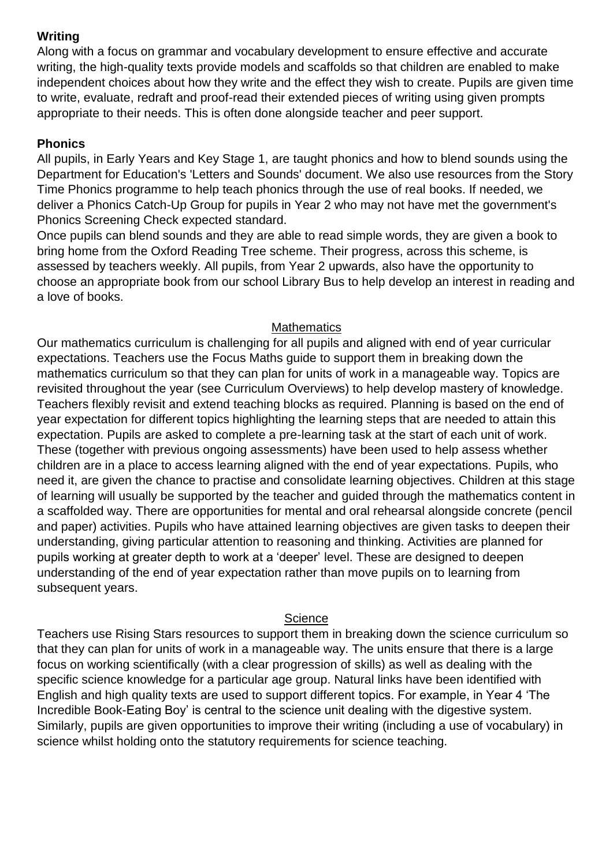## **Writing**

Along with a focus on grammar and vocabulary development to ensure effective and accurate writing, the high-quality texts provide models and scaffolds so that children are enabled to make independent choices about how they write and the effect they wish to create. Pupils are given time to write, evaluate, redraft and proof-read their extended pieces of writing using given prompts appropriate to their needs. This is often done alongside teacher and peer support.

## **Phonics**

All pupils, in Early Years and Key Stage 1, are taught phonics and how to blend sounds using the Department for Education's 'Letters and Sounds' document. We also use resources from the Story Time Phonics programme to help teach phonics through the use of real books. If needed, we deliver a Phonics Catch-Up Group for pupils in Year 2 who may not have met the government's Phonics Screening Check expected standard.

Once pupils can blend sounds and they are able to read simple words, they are given a book to bring home from the Oxford Reading Tree scheme. Their progress, across this scheme, is assessed by teachers weekly. All pupils, from Year 2 upwards, also have the opportunity to choose an appropriate book from our school Library Bus to help develop an interest in reading and a love of books.

## **Mathematics**

Our mathematics curriculum is challenging for all pupils and aligned with end of year curricular expectations. Teachers use the Focus Maths guide to support them in breaking down the mathematics curriculum so that they can plan for units of work in a manageable way. Topics are revisited throughout the year (see Curriculum Overviews) to help develop mastery of knowledge. Teachers flexibly revisit and extend teaching blocks as required. Planning is based on the end of year expectation for different topics highlighting the learning steps that are needed to attain this expectation. Pupils are asked to complete a pre-learning task at the start of each unit of work. These (together with previous ongoing assessments) have been used to help assess whether children are in a place to access learning aligned with the end of year expectations. Pupils, who need it, are given the chance to practise and consolidate learning objectives. Children at this stage of learning will usually be supported by the teacher and guided through the mathematics content in a scaffolded way. There are opportunities for mental and oral rehearsal alongside concrete (pencil and paper) activities. Pupils who have attained learning objectives are given tasks to deepen their understanding, giving particular attention to reasoning and thinking. Activities are planned for pupils working at greater depth to work at a 'deeper' level. These are designed to deepen understanding of the end of year expectation rather than move pupils on to learning from subsequent years.

## **Science**

Teachers use Rising Stars resources to support them in breaking down the science curriculum so that they can plan for units of work in a manageable way. The units ensure that there is a large focus on working scientifically (with a clear progression of skills) as well as dealing with the specific science knowledge for a particular age group. Natural links have been identified with English and high quality texts are used to support different topics. For example, in Year 4 'The Incredible Book-Eating Boy' is central to the science unit dealing with the digestive system. Similarly, pupils are given opportunities to improve their writing (including a use of vocabulary) in science whilst holding onto the statutory requirements for science teaching.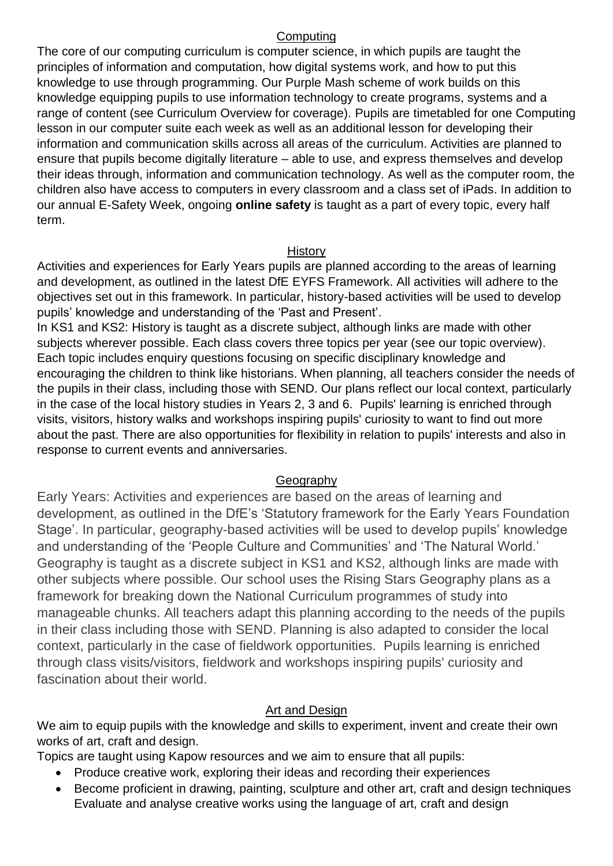#### **Computing**

The core of our computing curriculum is computer science, in which pupils are taught the principles of information and computation, how digital systems work, and how to put this knowledge to use through programming. Our Purple Mash scheme of work builds on this knowledge equipping pupils to use information technology to create programs, systems and a range of content (see Curriculum Overview for coverage). Pupils are timetabled for one Computing lesson in our computer suite each week as well as an additional lesson for developing their information and communication skills across all areas of the curriculum. Activities are planned to ensure that pupils become digitally literature – able to use, and express themselves and develop their ideas through, information and communication technology. As well as the computer room, the children also have access to computers in every classroom and a class set of iPads. In addition to our annual E-Safety Week, ongoing **online safety** is taught as a part of every topic, every half term.

#### **History**

Activities and experiences for Early Years pupils are planned according to the areas of learning and development, as outlined in the latest DfE EYFS Framework. All activities will adhere to the objectives set out in this framework. In particular, history-based activities will be used to develop pupils' knowledge and understanding of the 'Past and Present'.

In KS1 and KS2: History is taught as a discrete subject, although links are made with other subjects wherever possible. Each class covers three topics per year (see our topic overview). Each topic includes enquiry questions focusing on specific disciplinary knowledge and encouraging the children to think like historians. When planning, all teachers consider the needs of the pupils in their class, including those with SEND. Our plans reflect our local context, particularly in the case of the local history studies in Years 2, 3 and 6. Pupils' learning is enriched through visits, visitors, history walks and workshops inspiring pupils' curiosity to want to find out more about the past. There are also opportunities for flexibility in relation to pupils' interests and also in response to current events and anniversaries.

#### Geography

Early Years: Activities and experiences are based on the areas of learning and development, as outlined in the DfE's 'Statutory framework for the Early Years Foundation Stage'. In particular, geography-based activities will be used to develop pupils' knowledge and understanding of the 'People Culture and Communities' and 'The Natural World.' Geography is taught as a discrete subject in KS1 and KS2, although links are made with other subjects where possible. Our school uses the Rising Stars Geography plans as a framework for breaking down the National Curriculum programmes of study into manageable chunks. All teachers adapt this planning according to the needs of the pupils in their class including those with SEND. Planning is also adapted to consider the local context, particularly in the case of fieldwork opportunities. Pupils learning is enriched through class visits/visitors, fieldwork and workshops inspiring pupils' curiosity and fascination about their world.

## Art and Design

We aim to equip pupils with the knowledge and skills to experiment, invent and create their own works of art, craft and design.

Topics are taught using Kapow resources and we aim to ensure that all pupils:

- Produce creative work, exploring their ideas and recording their experiences
- Become proficient in drawing, painting, sculpture and other art, craft and design techniques Evaluate and analyse creative works using the language of art, craft and design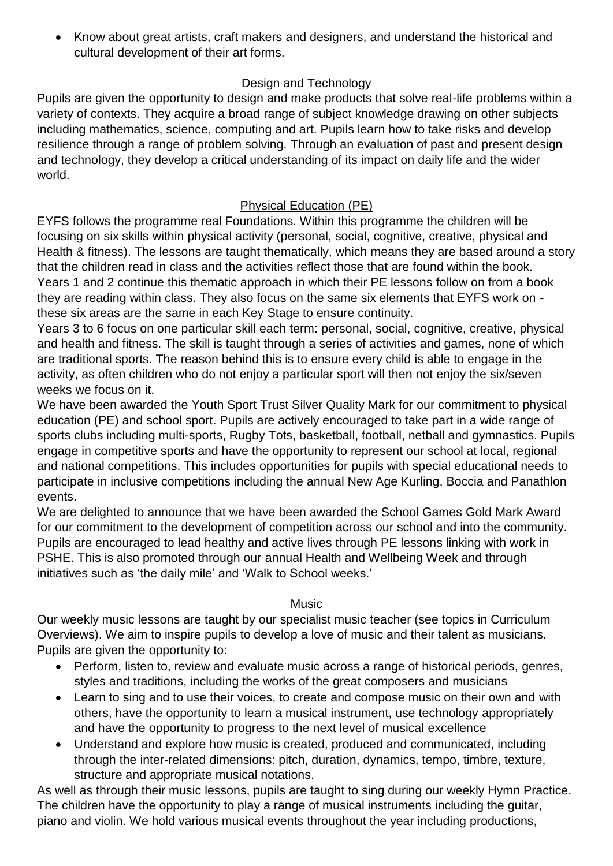• Know about great artists, craft makers and designers, and understand the historical and cultural development of their art forms.

# Design and Technology

Pupils are given the opportunity to design and make products that solve real-life problems within a variety of contexts. They acquire a broad range of subject knowledge drawing on other subjects including mathematics, science, computing and art. Pupils learn how to take risks and develop resilience through a range of problem solving. Through an evaluation of past and present design and technology, they develop a critical understanding of its impact on daily life and the wider world.

## Physical Education (PE)

EYFS follows the programme real Foundations. Within this programme the children will be focusing on six skills within physical activity (personal, social, cognitive, creative, physical and Health & fitness). The lessons are taught thematically, which means they are based around a story that the children read in class and the activities reflect those that are found within the book. Years 1 and 2 continue this thematic approach in which their PE lessons follow on from a book they are reading within class. They also focus on the same six elements that EYFS work on these six areas are the same in each Key Stage to ensure continuity.

Years 3 to 6 focus on one particular skill each term: personal, social, cognitive, creative, physical and health and fitness. The skill is taught through a series of activities and games, none of which are traditional sports. The reason behind this is to ensure every child is able to engage in the activity, as often children who do not enjoy a particular sport will then not enjoy the six/seven weeks we focus on it.

We have been awarded the Youth Sport Trust Silver Quality Mark for our commitment to physical education (PE) and school sport. Pupils are actively encouraged to take part in a wide range of sports clubs including multi-sports, Rugby Tots, basketball, football, netball and gymnastics. Pupils engage in competitive sports and have the opportunity to represent our school at local, regional and national competitions. This includes opportunities for pupils with special educational needs to participate in inclusive competitions including the annual New Age Kurling, Boccia and Panathlon events.

We are delighted to announce that we have been awarded the School Games Gold Mark Award for our commitment to the development of competition across our school and into the community. Pupils are encouraged to lead healthy and active lives through PE lessons linking with work in PSHE. This is also promoted through our annual Health and Wellbeing Week and through initiatives such as 'the daily mile' and 'Walk to School weeks.'

## Music

Our weekly music lessons are taught by our specialist music teacher (see topics in Curriculum Overviews). We aim to inspire pupils to develop a love of music and their talent as musicians. Pupils are given the opportunity to:

- Perform, listen to, review and evaluate music across a range of historical periods, genres, styles and traditions, including the works of the great composers and musicians
- Learn to sing and to use their voices, to create and compose music on their own and with others, have the opportunity to learn a musical instrument, use technology appropriately and have the opportunity to progress to the next level of musical excellence
- Understand and explore how music is created, produced and communicated, including through the inter-related dimensions: pitch, duration, dynamics, tempo, timbre, texture, structure and appropriate musical notations.

As well as through their music lessons, pupils are taught to sing during our weekly Hymn Practice. The children have the opportunity to play a range of musical instruments including the guitar, piano and violin. We hold various musical events throughout the year including productions,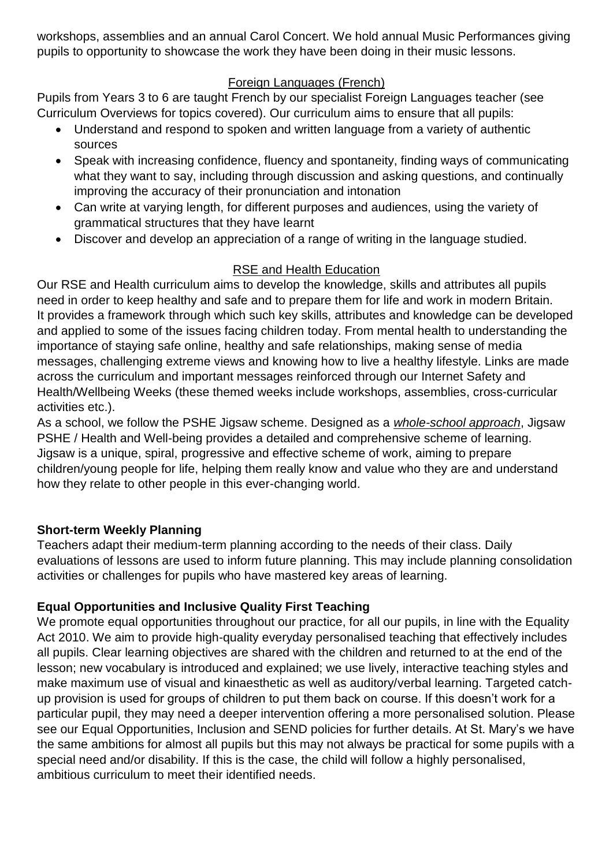workshops, assemblies and an annual Carol Concert. We hold annual Music Performances giving pupils to opportunity to showcase the work they have been doing in their music lessons.

# Foreign Languages (French)

Pupils from Years 3 to 6 are taught French by our specialist Foreign Languages teacher (see Curriculum Overviews for topics covered). Our curriculum aims to ensure that all pupils:

- Understand and respond to spoken and written language from a variety of authentic sources
- Speak with increasing confidence, fluency and spontaneity, finding ways of communicating what they want to say, including through discussion and asking questions, and continually improving the accuracy of their pronunciation and intonation
- Can write at varying length, for different purposes and audiences, using the variety of grammatical structures that they have learnt
- Discover and develop an appreciation of a range of writing in the language studied.

# RSE and Health Education

Our RSE and Health curriculum aims to develop the knowledge, skills and attributes all pupils need in order to keep healthy and safe and to prepare them for life and work in modern Britain. It provides a framework through which such key skills, attributes and knowledge can be developed and applied to some of the issues facing children today. From mental health to understanding the importance of staying safe online, healthy and safe relationships, making sense of media messages, challenging extreme views and knowing how to live a healthy lifestyle. Links are made across the curriculum and important messages reinforced through our Internet Safety and Health/Wellbeing Weeks (these themed weeks include workshops, assemblies, cross-curricular activities etc.).

As a school, we follow the PSHE Jigsaw scheme. Designed as a *whole-school approach*, Jigsaw PSHE / Health and Well-being provides a detailed and comprehensive scheme of learning. Jigsaw is a unique, spiral, progressive and effective scheme of work, aiming to prepare children/young people for life, helping them really know and value who they are and understand how they relate to other people in this ever-changing world.

# **Short-term Weekly Planning**

Teachers adapt their medium-term planning according to the needs of their class. Daily evaluations of lessons are used to inform future planning. This may include planning consolidation activities or challenges for pupils who have mastered key areas of learning.

# **Equal Opportunities and Inclusive Quality First Teaching**

We promote equal opportunities throughout our practice, for all our pupils, in line with the Equality Act 2010. We aim to provide high-quality everyday personalised teaching that effectively includes all pupils. Clear learning objectives are shared with the children and returned to at the end of the lesson; new vocabulary is introduced and explained; we use lively, interactive teaching styles and make maximum use of visual and kinaesthetic as well as auditory/verbal learning. Targeted catchup provision is used for groups of children to put them back on course. If this doesn't work for a particular pupil, they may need a deeper intervention offering a more personalised solution. Please see our Equal Opportunities, Inclusion and SEND policies for further details. At St. Mary's we have the same ambitions for almost all pupils but this may not always be practical for some pupils with a special need and/or disability. If this is the case, the child will follow a highly personalised, ambitious curriculum to meet their identified needs.